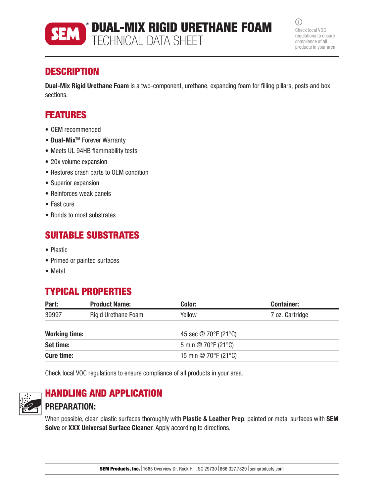

DUAL-MIX RIGID URETHANE FOAM TECHNICAL DATA SHEET

 $(i)$ Check local VOC regulations to ensure compliance of all products in your area.

# **DESCRIPTION**

Dual-Mix Rigid Urethane Foam is a two-component, urethane, expanding foam for filling pillars, posts and box sections.

# FEATURES

- OEM recommended
- Dual-Mix<sup>TM</sup> Forever Warranty
- Meets UL 94HB flammability tests
- 20x volume expansion
- Restores crash parts to OEM condition
- Superior expansion
- Reinforces weak panels
- Fast cure
- Bonds to most substrates

## SUITABLE SUBSTRATES

- Plastic
- Primed or painted surfaces
- Metal

# TYPICAL PROPERTIES

| Part:                | <b>Product Name:</b>       | Color:                                   | <b>Container:</b> |
|----------------------|----------------------------|------------------------------------------|-------------------|
| 39997                | <b>Rigid Urethane Foam</b> | Yellow                                   | 7 oz. Cartridge   |
| <b>Working time:</b> |                            | 45 sec @ 70°F (21°C)                     |                   |
| Set time:            |                            | 5 min @ $70^{\circ}$ F (21 $^{\circ}$ C) |                   |
| <b>Cure time:</b>    |                            | 15 min @ 70°F (21°C)                     |                   |

Check local VOC regulations to ensure compliance of all products in your area.



# HANDLING AND APPLICATION

### PREPARATION:

When possible, clean plastic surfaces thoroughly with Plastic & Leather Prep; painted or metal surfaces with SEM Solve or XXX Universal Surface Cleaner. Apply according to directions.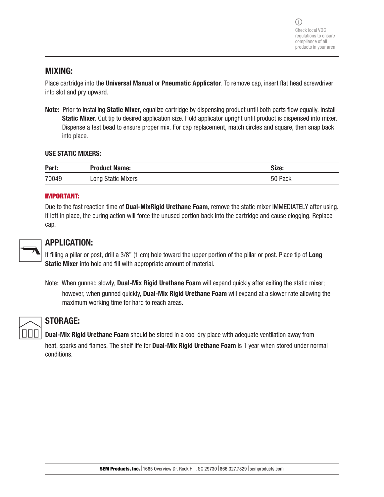### MIXING:

Place cartridge into the Universal Manual or Pneumatic Applicator. To remove cap, insert flat head screwdriver into slot and pry upward.

Note: Prior to installing Static Mixer, equalize cartridge by dispensing product until both parts flow equally. Install Static Mixer. Cut tip to desired application size. Hold applicator upright until product is dispensed into mixer. Dispense a test bead to ensure proper mix. For cap replacement, match circles and square, then snap back into place.

#### USE STATIC MIXERS:

| Part: | <b>Product Name:</b> | Size:   |
|-------|----------------------|---------|
| 70049 | Long Static Mixers   | 50 Pack |

#### IMPORTANT:

Due to the fast reaction time of Dual-MixRigid Urethane Foam, remove the static mixer IMMEDIATELY after using. If left in place, the curing action will force the unused portion back into the cartridge and cause clogging. Replace cap.



### APPLICATION:

If filling a pillar or post, drill a 3/8" (1 cm) hole toward the upper portion of the pillar or post. Place tip of Long Static Mixer into hole and fill with appropriate amount of material.

Note: When gunned slowly, **Dual-Mix Rigid Urethane Foam** will expand quickly after exiting the static mixer; however, when gunned guickly, **Dual-Mix Rigid Urethane Foam** will expand at a slower rate allowing the maximum working time for hard to reach areas.



### STORAGE:

Dual-Mix Rigid Urethane Foam should be stored in a cool dry place with adequate ventilation away from heat, sparks and flames. The shelf life for Dual-Mix Rigid Urethane Foam is 1 year when stored under normal conditions.